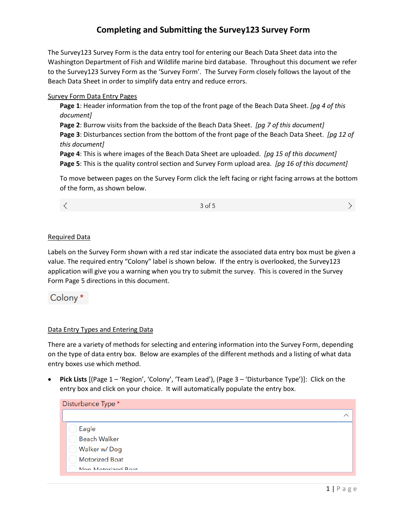The Survey123 Survey Form is the data entry tool for entering our Beach Data Sheet data into the Washington Department of Fish and Wildlife marine bird database. Throughout this document we refer to the Survey123 Survey Form as the 'Survey Form'. The Survey Form closely follows the layout of the Beach Data Sheet in order to simplify data entry and reduce errors.

#### Survey Form Data Entry Pages

**Page 1**: Header information from the top of the front page of the Beach Data Sheet. *[pg 4 of this document]*

**Page 2**: Burrow visits from the backside of the Beach Data Sheet. *[pg 7 of this document]* **Page 3**: Disturbances section from the bottom of the front page of the Beach Data Sheet. *[pg 12 of this document]*

**Page 4**: This is where images of the Beach Data Sheet are uploaded. *[pg 15 of this document]* **Page 5**: This is the quality control section and Survey Form upload area. *[pg 16 of this document]*

To move between pages on the Survey Form click the left facing or right facing arrows at the bottom of the form, as shown below.

 $\left\langle \right\rangle$ 

 $3$  of  $5$ 

 $\left\langle \right\rangle$ 

#### Required Data

Labels on the Survey Form shown with a red star indicate the associated data entry box must be given a value. The required entry "Colony" label is shown below. If the entry is overlooked, the Survey123 application will give you a warning when you try to submit the survey. This is covered in the Survey Form Page 5 directions in this document.

Colony\*

#### Data Entry Types and Entering Data

There are a variety of methods for selecting and entering information into the Survey Form, depending on the type of data entry box. Below are examples of the different methods and a listing of what data entry boxes use which method.

• **Pick Lists** [(Page 1 – 'Region', 'Colony', 'Team Lead'), (Page 3 – 'Disturbance Type')]: Click on the entry box and click on your choice. It will automatically populate the entry box.

| Disturbance Type *    |  |  |  |  |
|-----------------------|--|--|--|--|
|                       |  |  |  |  |
| Eagle                 |  |  |  |  |
| <b>Beach Walker</b>   |  |  |  |  |
| Walker w/Dog          |  |  |  |  |
| <b>Motorized Boat</b> |  |  |  |  |
| Non Motorized Root    |  |  |  |  |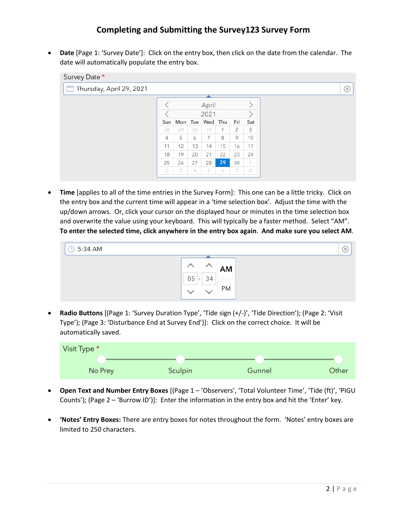• **Date** [Page 1: 'Survey Date']: Click on the entry box, then click on the date from the calendar. The date will automatically populate the entry box.



• **Time** [applies to all of the time entries in the Survey Form]: This one can be a little tricky. Click on the entry box and the current time will appear in a 'time selection box'. Adjust the time with the up/down arrows. Or, click your cursor on the displayed hour or minutes in the time selection box and overwrite the value using your keyboard. This will typically be a faster method. Select "AM". **To enter the selected time, click anywhere in the entry box again**. **And make sure you select AM**.

| $\odot$ 5:34 AM |                    |              |           |
|-----------------|--------------------|--------------|-----------|
|                 | $\curvearrowright$ |              | <b>AM</b> |
|                 | 05<br>÷            | 34           |           |
|                 | ╰                  | $\checkmark$ | PM        |

• **Radio Buttons** [(Page 1: 'Survey Duration Type', 'Tide sign (+/-)', 'Tide Direction'); (Page 2: 'Visit Type'); (Page 3: 'Disturbance End at Survey End')]: Click on the correct choice. It will be automatically saved.

| Visit Type * |         |        |       |
|--------------|---------|--------|-------|
|              |         |        |       |
| No Prey      | Sculpin | Gunnel | Other |

- **Open Text and Number Entry Boxes** [(Page 1 'Observers', 'Total Volunteer Time', 'Tide (ft)', 'PIGU Counts'); (Page 2 – 'Burrow ID')]: Enter the information in the entry box and hit the 'Enter' key.
- **'Notes' Entry Boxes:** There are entry boxes for notes throughout the form. 'Notes' entry boxes are limited to 250 characters.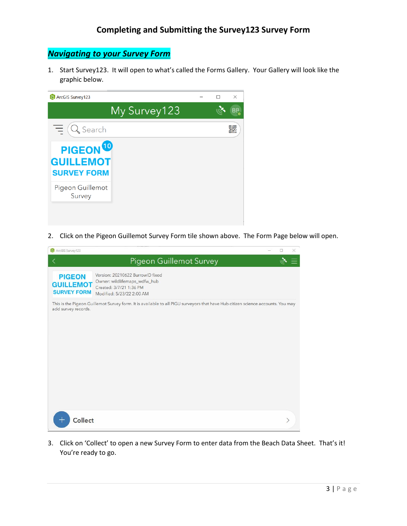### *Navigating to your Survey Form*

1. Start Survey123. It will open to what's called the Forms Gallery. Your Gallery will look like the graphic below.



2. Click on the Pigeon Guillemot Survey Form tile shown above. The Form Page below will open.

| ArcGIS Survey123                                        |                                                                                                                                 | $\Box$ | X |
|---------------------------------------------------------|---------------------------------------------------------------------------------------------------------------------------------|--------|---|
|                                                         | <b>Pigeon Guillemot Survey</b>                                                                                                  |        |   |
| <b>PIGEON</b><br><b>GUILLEMOT</b><br><b>SURVEY FORM</b> | Version: 20210622 BurrowID fixed<br>Owner: wildlifemaps_wdfw_hub<br>Created: 3/7/21 1:36 PM<br>Modified: 5/23/22 2:00 AM        |        |   |
| add survey records.                                     | This is the Pigeon Guillemot Survey form. It is available to all PIGU surveyors that have Hub citizen science accounts. You may |        |   |
| <b>Collect</b>                                          |                                                                                                                                 |        |   |

3. Click on 'Collect' to open a new Survey Form to enter data from the Beach Data Sheet. That's it! You're ready to go.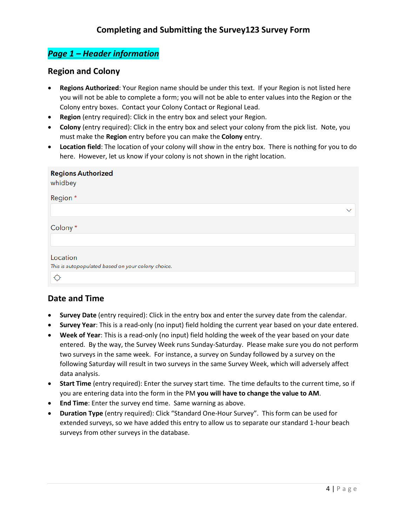# *Page 1 – Header information*

#### **Region and Colony**

- **Regions Authorized**: Your Region name should be under this text. If your Region is not listed here you will not be able to complete a form; you will not be able to enter values into the Region or the Colony entry boxes. Contact your Colony Contact or Regional Lead.
- **Region** (entry required): Click in the entry box and select your Region.
- **Colony** (entry required): Click in the entry box and select your colony from the pick list. Note, you must make the **Region** entry before you can make the **Colony** entry.
- **Location field**: The location of your colony will show in the entry box. There is nothing for you to do here. However, let us know if your colony is not shown in the right location.

| <b>Regions Authorized</b><br>whidbey               |              |
|----------------------------------------------------|--------------|
| Region *                                           |              |
|                                                    | $\checkmark$ |
| Colony*                                            |              |
|                                                    |              |
| Location                                           |              |
| This is autopopulated based on your colony choice. |              |
|                                                    |              |

### **Date and Time**

- **Survey Date** (entry required): Click in the entry box and enter the survey date from the calendar.
- **Survey Year**: This is a read-only (no input) field holding the current year based on your date entered.
- **Week of Year**: This is a read-only (no input) field holding the week of the year based on your date entered. By the way, the Survey Week runs Sunday-Saturday. Please make sure you do not perform two surveys in the same week. For instance, a survey on Sunday followed by a survey on the following Saturday will result in two surveys in the same Survey Week, which will adversely affect data analysis.
- **Start Time** (entry required): Enter the survey start time. The time defaults to the current time, so if you are entering data into the form in the PM **you will have to change the value to AM**.
- **End Time**: Enter the survey end time. Same warning as above.
- **Duration Type** (entry required): Click "Standard One-Hour Survey". This form can be used for extended surveys, so we have added this entry to allow us to separate our standard 1-hour beach surveys from other surveys in the database.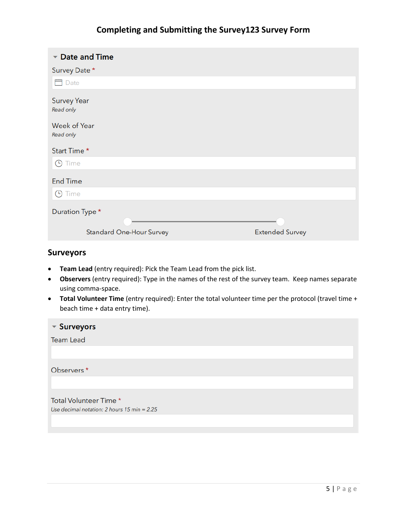| Date and Time                   |                        |
|---------------------------------|------------------------|
| Survey Date *                   |                        |
| <b>iii</b> Date                 |                        |
| <b>Survey Year</b><br>Read only |                        |
| Week of Year<br>Read only       |                        |
| Start Time*                     |                        |
| <b>O</b> Time                   |                        |
| <b>End Time</b>                 |                        |
| <b>1</b> Time                   |                        |
| Duration Type *                 |                        |
| <b>Standard One-Hour Survey</b> | <b>Extended Survey</b> |

### **Surveyors**

- **Team Lead** (entry required): Pick the Team Lead from the pick list.
- **Observers** (entry required): Type in the names of the rest of the survey team. Keep names separate using comma-space.
- **Total Volunteer Time** (entry required): Enter the total volunteer time per the protocol (travel time + beach time + data entry time).

| ▼ Surveyors                                       |
|---------------------------------------------------|
| <b>Team Lead</b>                                  |
|                                                   |
| Observers <sup>*</sup>                            |
|                                                   |
| Total Volunteer Time*                             |
| Use decimal notation: $2$ hours $15$ min = $2.25$ |
|                                                   |
|                                                   |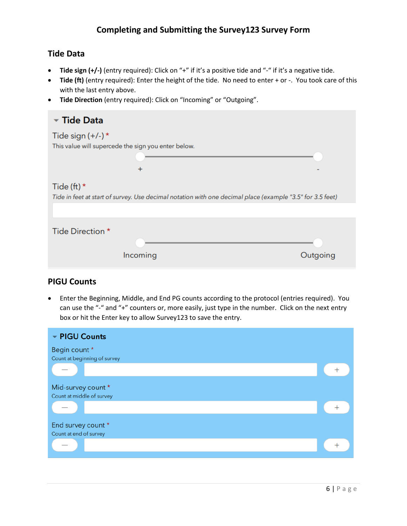### **Tide Data**

- **Tide sign (+/-)** (entry required): Click on "+" if it's a positive tide and "-" if it's a negative tide.
- **Tide (ft)** (entry required): Enter the height of the tide. No need to enter + or -. You took care of this with the last entry above.
- **Tide Direction** (entry required): Click on "Incoming" or "Outgoing".

| ▼ Tide Data                                                                                                                |          |
|----------------------------------------------------------------------------------------------------------------------------|----------|
| Tide sign $(+/-)$ *                                                                                                        |          |
| This value will supercede the sign you enter below.                                                                        |          |
|                                                                                                                            |          |
| $\ddot{}$                                                                                                                  |          |
| Tide (ft) $*$<br>Tide in feet at start of survey. Use decimal notation with one decimal place (example "3.5" for 3.5 feet) |          |
| Tide Direction *                                                                                                           |          |
| Incoming                                                                                                                   | Outgoing |

### **PIGU Counts**

• Enter the Beginning, Middle, and End PG counts according to the protocol (entries required). You can use the "-" and "+" counters or, more easily, just type in the number. Click on the next entry box or hit the Enter key to allow Survey123 to save the entry.

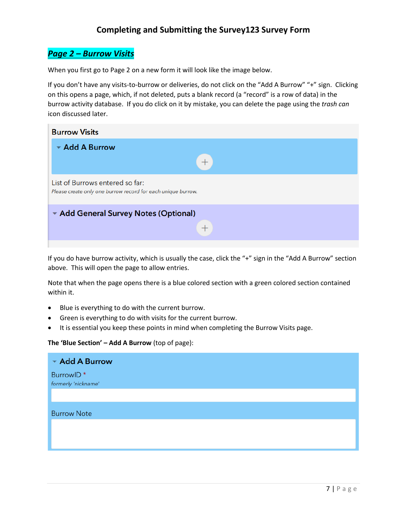# *Page 2 – Burrow Visits*

When you first go to Page 2 on a new form it will look like the image below.

If you don't have any visits-to-burrow or deliveries, do not click on the "Add A Burrow" "+" sign. Clicking on this opens a page, which, if not deleted, puts a blank record (a "record" is a row of data) in the burrow activity database. If you do click on it by mistake, you can delete the page using the *trash can* icon discussed later.

| <b>Burrow Visits</b>                                                                            |
|-------------------------------------------------------------------------------------------------|
| $\blacktriangleright$ Add A Burrow                                                              |
|                                                                                                 |
| List of Burrows entered so far:<br>Please create only one burrow record for each unique burrow. |
| Add General Survey Notes (Optional)                                                             |
|                                                                                                 |

If you do have burrow activity, which is usually the case, click the "+" sign in the "Add A Burrow" section above. This will open the page to allow entries.

Note that when the page opens there is a blue colored section with a green colored section contained within it.

- Blue is everything to do with the current burrow.
- Green is everything to do with visits for the current burrow.
- It is essential you keep these points in mind when completing the Burrow Visits page.

**The 'Blue Section' – Add A Burrow** (top of page):

| Add A Burrow                                 |  |
|----------------------------------------------|--|
| BurrowID <sup>*</sup><br>formerly 'nickname' |  |
|                                              |  |
| <b>Burrow Note</b>                           |  |
|                                              |  |
|                                              |  |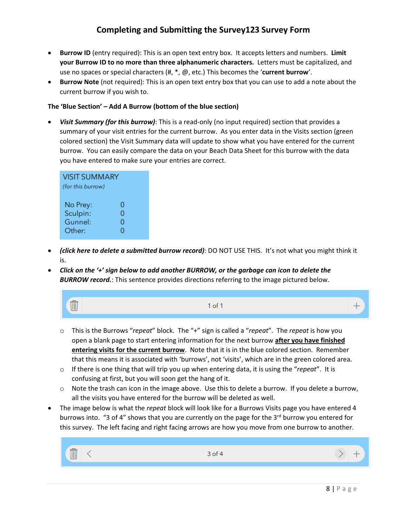- **Burrow ID** (entry required): This is an open text entry box. It accepts letters and numbers. **Limit your Burrow ID to no more than three alphanumeric characters.** Letters must be capitalized, and use no spaces or special characters (#, \*, @, etc.) This becomes the '**current burrow**'.
- **Burrow Note** (not required): This is an open text entry box that you can use to add a note about the current burrow if you wish to.

#### **The 'Blue Section' – Add A Burrow (bottom of the blue section)**

• *Visit Summary (for this burrow)*: This is a read-only (no input required) section that provides a summary of your visit entries for the current burrow. As you enter data in the Visits section (green colored section) the Visit Summary data will update to show what you have entered for the current burrow. You can easily compare the data on your Beach Data Sheet for this burrow with the data you have entered to make sure your entries are correct.

| <b>VISIT SUMMARY</b>                                          |  |
|---------------------------------------------------------------|--|
| (for this burrow)                                             |  |
| No Prey:<br>O<br>Sculpin:<br>0<br>Gunnel:<br>O<br>Other:<br>O |  |

- *(click here to delete a submitted burrow record)*: DO NOT USE THIS. It's not what you might think it is.
- *Click on the '+' sign below to add another BURROW, or the garbage can icon to delete the BURROW record.*: This sentence provides directions referring to the image pictured below.



- o This is the Burrows "*repeat*" block. The "+" sign is called a "*repeat*". The *repeat* is how you open a blank page to start entering information for the next burrow **after you have finished entering visits for the current burrow**. Note that it is in the blue colored section. Remember that this means it is associated with 'burrows', not 'visits', which are in the green colored area.
- o If there is one thing that will trip you up when entering data, it is using the "*repeat*". It is confusing at first, but you will soon get the hang of it.
- $\circ$  Note the trash can icon in the image above. Use this to delete a burrow. If you delete a burrow, all the visits you have entered for the burrow will be deleted as well.
- The image below is what the *repeat* block will look like for a Burrows Visits page you have entered 4 burrows into. "3 of 4" shows that you are currently on the page for the  $3<sup>rd</sup>$  burrow you entered for this survey. The left facing and right facing arrows are how you move from one burrow to another.

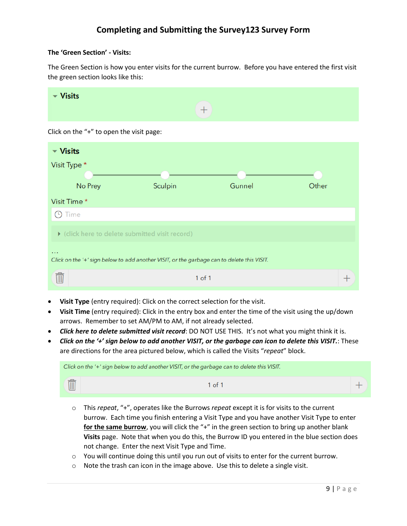#### **The 'Green Section' - Visits:**

The Green Section is how you enter visits for the current burrow. Before you have entered the first visit the green section looks like this:

| $\blacktriangledown$ Visits                                                                            | $^{+}$     |  |  |  |  |  |
|--------------------------------------------------------------------------------------------------------|------------|--|--|--|--|--|
| Click on the "+" to open the visit page:                                                               |            |  |  |  |  |  |
| $\blacktriangledown$ Visits<br>Visit Type *<br>Sculpin<br>Gunnel<br>No Prey<br>Other                   |            |  |  |  |  |  |
| Visit Time *                                                                                           |            |  |  |  |  |  |
| Time<br>$\ddot{\Theta}$                                                                                |            |  |  |  |  |  |
| (click here to delete submitted visit record)                                                          |            |  |  |  |  |  |
| $\cdots$<br>Click on the '+' sign below to add another VISIT, or the garbage can to delete this VISIT. |            |  |  |  |  |  |
| $\blacksquare$                                                                                         | $1$ of $1$ |  |  |  |  |  |

- **Visit Type** (entry required): Click on the correct selection for the visit.
- **Visit Time** (entry required): Click in the entry box and enter the time of the visit using the up/down arrows. Remember to set AM/PM to AM, if not already selected.
- *Click here to delete submitted visit record*: DO NOT USE THIS. It's not what you might think it is.
- *Click on the '+' sign below to add another VISIT, or the garbage can icon to delete this VISIT.*: These are directions for the area pictured below, which is called the Visits "*repeat*" block.



- o This *repeat*, "+", operates like the Burrows *repeat* except it is for visits to the current burrow. Each time you finish entering a Visit Type and you have another Visit Type to enter for the same burrow, you will click the "+" in the green section to bring up another blank **Visits** page. Note that when you do this, the Burrow ID you entered in the blue section does not change. Enter the next Visit Type and Time.
- o You will continue doing this until you run out of visits to enter for the current burrow.
- o Note the trash can icon in the image above. Use this to delete a single visit.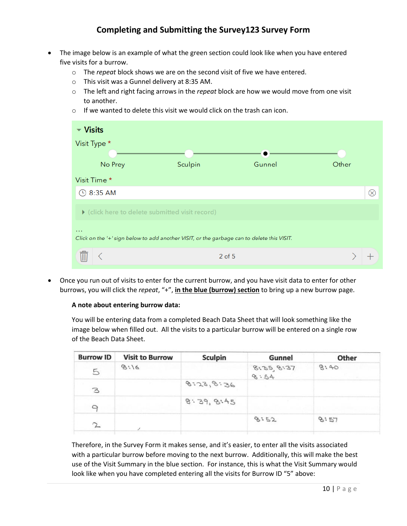- The image below is an example of what the green section could look like when you have entered five visits for a burrow.
	- o The *repeat* block shows we are on the second visit of five we have entered.
	- o This visit was a Gunnel delivery at 8:35 AM.
	- o The left and right facing arrows in the *repeat* block are how we would move from one visit to another.
	- o If we wanted to delete this visit we would click on the trash can icon.

| $\blacktriangledown$ Visits |                                                                                            |        |       |
|-----------------------------|--------------------------------------------------------------------------------------------|--------|-------|
| Visit Type *                |                                                                                            |        |       |
| No Prey                     | Sculpin                                                                                    | Gunnel | Other |
| Visit Time *                |                                                                                            |        |       |
| <b>4</b> 8:35 AM            |                                                                                            |        | ⊗     |
|                             | ▶ (click here to delete submitted visit record)                                            |        |       |
| $\sim$ $\sim$ $\sim$        | Click on the '+' sign below to add another VISIT, or the garbage can to delete this VISIT. |        |       |
|                             | $2$ of $5$                                                                                 |        |       |
|                             |                                                                                            |        |       |

• Once you run out of visits to enter for the current burrow, and you have visit data to enter for other burrows, you will click the *repeat*, "+", **in the blue (burrow) section** to bring up a new burrow page.

#### **A note about entering burrow data:**

You will be entering data from a completed Beach Data Sheet that will look something like the image below when filled out. All the visits to a particular burrow will be entered on a single row of the Beach Data Sheet.

| <b>Burrow ID</b> | <b>Visit to Burrow</b> | <b>Sculpin</b> | Gunnel             | Other |  |
|------------------|------------------------|----------------|--------------------|-------|--|
| 5                | 8!16                   |                | 8.35, 8.37<br>8:54 | 8:40  |  |
| 3                |                        | 8:23,8:36      |                    |       |  |
| $\circ$          |                        | 8:39,8:45      |                    |       |  |
| $\mathbb{Z}$     |                        |                | 8:52               | B:57  |  |
|                  |                        |                |                    |       |  |

Therefore, in the Survey Form it makes sense, and it's easier, to enter all the visits associated with a particular burrow before moving to the next burrow. Additionally, this will make the best use of the Visit Summary in the blue section. For instance, this is what the Visit Summary would look like when you have completed entering all the visits for Burrow ID "5" above: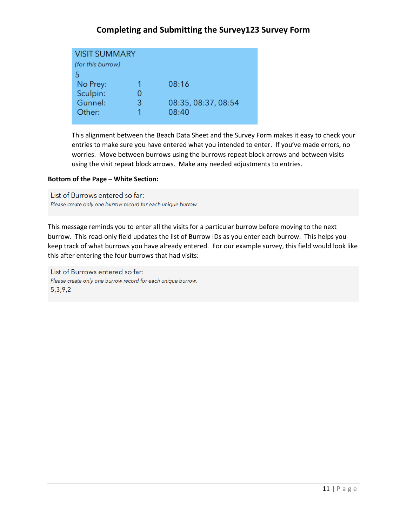| <b>VISIT SUMMARY</b> |   |                     |
|----------------------|---|---------------------|
| (for this burrow)    |   |                     |
| 5                    |   |                     |
| No Prey:             | 1 | 08:16               |
| Sculpin:             |   |                     |
| Gunnel:              | 3 | 08:35, 08:37, 08:54 |
| Other:               |   | 08:40               |

This alignment between the Beach Data Sheet and the Survey Form makes it easy to check your entries to make sure you have entered what you intended to enter. If you've made errors, no worries. Move between burrows using the burrows repeat block arrows and between visits using the visit repeat block arrows. Make any needed adjustments to entries.

#### **Bottom of the Page – White Section:**

List of Burrows entered so far: Please create only one burrow record for each unique burrow.

This message reminds you to enter all the visits for a particular burrow before moving to the next burrow. This read-only field updates the list of Burrow IDs as you enter each burrow. This helps you keep track of what burrows you have already entered. For our example survey, this field would look like this after entering the four burrows that had visits:

List of Burrows entered so far: Please create only one burrow record for each unique burrow.  $5,3,9,2$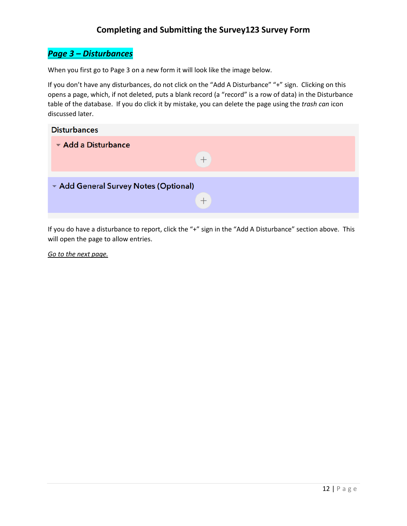# *Page 3 – Disturbances*

When you first go to Page 3 on a new form it will look like the image below.

If you don't have any disturbances, do not click on the "Add A Disturbance" "+" sign. Clicking on this opens a page, which, if not deleted, puts a blank record (a "record" is a row of data) in the Disturbance table of the database. If you do click it by mistake, you can delete the page using the *trash can* icon discussed later.

| <b>Disturbances</b>                 |   |
|-------------------------------------|---|
| Add a Disturbance                   |   |
|                                     |   |
| Add General Survey Notes (Optional) |   |
|                                     | — |

If you do have a disturbance to report, click the "+" sign in the "Add A Disturbance" section above. This will open the page to allow entries.

*Go to the next page.*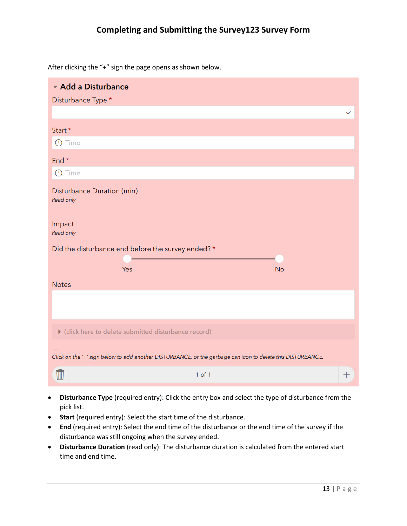After clicking the "+" sign the page opens as shown below.

| Add a Disturbance                                                                                                        |                    |
|--------------------------------------------------------------------------------------------------------------------------|--------------------|
| Disturbance Type *                                                                                                       |                    |
|                                                                                                                          | $\checkmark$       |
| Start *<br><b>9</b> Time                                                                                                 |                    |
| End*                                                                                                                     |                    |
| <b>9</b> Time                                                                                                            |                    |
| Disturbance Duration (min)<br>Read only                                                                                  |                    |
| Impact<br>Read only                                                                                                      |                    |
| Did the disturbance end before the survey ended? *                                                                       |                    |
| Yes<br><b>No</b>                                                                                                         |                    |
| <b>Notes</b>                                                                                                             |                    |
|                                                                                                                          |                    |
| click here to delete submitted disturbance record)                                                                       |                    |
| $\ddotsc$<br>Click on the '+' sign below to add another DISTURBANCE, or the garbage can icon to delete this DISTURBANCE. |                    |
| $\overline{\mathbb{I}\mathbb{I}}$<br>$1$ of $1$                                                                          | $\hspace{0.1mm} +$ |

- **Disturbance Type** (required entry): Click the entry box and select the type of disturbance from the pick list.
- **Start** (required entry): Select the start time of the disturbance.
- **End** (required entry): Select the end time of the disturbance or the end time of the survey if the disturbance was still ongoing when the survey ended.
- **Disturbance Duration** (read only): The disturbance duration is calculated from the entered start time and end time.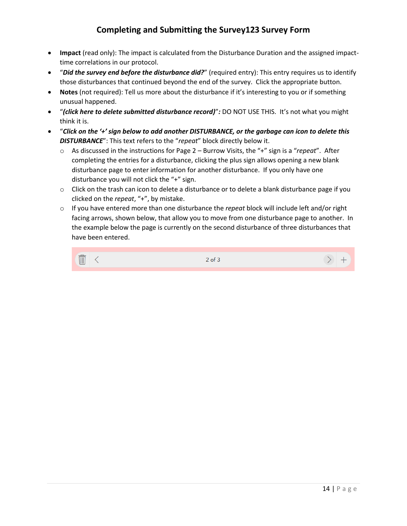- **Impact** (read only): The impact is calculated from the Disturbance Duration and the assigned impacttime correlations in our protocol.
- "*Did the survey end before the disturbance did?*" (required entry): This entry requires us to identify those disturbances that continued beyond the end of the survey. Click the appropriate button.
- **Notes** (not required): Tell us more about the disturbance if it's interesting to you or if something unusual happened.
- "*(click here to delete submitted disturbance record)*"*:* DO NOT USE THIS. It's not what you might think it is.
- "*Click on the '+' sign below to add another DISTURBANCE, or the garbage can icon to delete this DISTURBANCE*": This text refers to the "*repeat*" block directly below it.
	- o As discussed in the instructions for Page 2 Burrow Visits, the "+" sign is a "*repeat*". After completing the entries for a disturbance, clicking the plus sign allows opening a new blank disturbance page to enter information for another disturbance. If you only have one disturbance you will not click the "+" sign.
	- $\circ$  Click on the trash can icon to delete a disturbance or to delete a blank disturbance page if you clicked on the *repeat*, "+", by mistake.
	- o If you have entered more than one disturbance the *repeat* block will include left and/or right facing arrows, shown below, that allow you to move from one disturbance page to another. In the example below the page is currently on the second disturbance of three disturbances that have been entered.

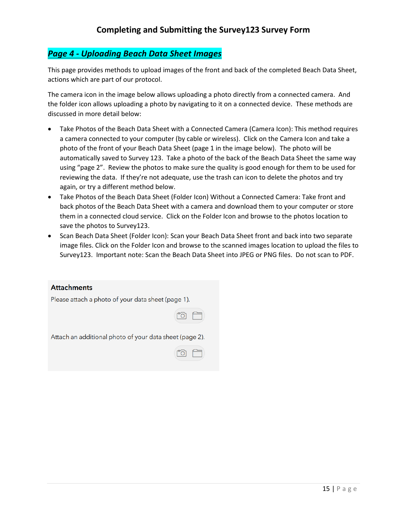### *Page 4 - Uploading Beach Data Sheet Images*

This page provides methods to upload images of the front and back of the completed Beach Data Sheet, actions which are part of our protocol.

The camera icon in the image below allows uploading a photo directly from a connected camera. And the folder icon allows uploading a photo by navigating to it on a connected device. These methods are discussed in more detail below:

- Take Photos of the Beach Data Sheet with a Connected Camera (Camera Icon): This method requires a camera connected to your computer (by cable or wireless). Click on the Camera Icon and take a photo of the front of your Beach Data Sheet (page 1 in the image below). The photo will be automatically saved to Survey 123. Take a photo of the back of the Beach Data Sheet the same way using "page 2". Review the photos to make sure the quality is good enough for them to be used for reviewing the data. If they're not adequate, use the trash can icon to delete the photos and try again, or try a different method below.
- Take Photos of the Beach Data Sheet (Folder Icon) Without a Connected Camera: Take front and back photos of the Beach Data Sheet with a camera and download them to your computer or store them in a connected cloud service. Click on the Folder Icon and browse to the photos location to save the photos to Survey123.
- Scan Beach Data Sheet (Folder Icon): Scan your Beach Data Sheet front and back into two separate image files. Click on the Folder Icon and browse to the scanned images location to upload the files to Survey123. Important note: Scan the Beach Data Sheet into JPEG or PNG files. Do not scan to PDF.

| <b>Attachments</b>                                      |  |  |
|---------------------------------------------------------|--|--|
| Please attach a photo of your data sheet (page 1).      |  |  |
|                                                         |  |  |
| Attach an additional photo of your data sheet (page 2). |  |  |
|                                                         |  |  |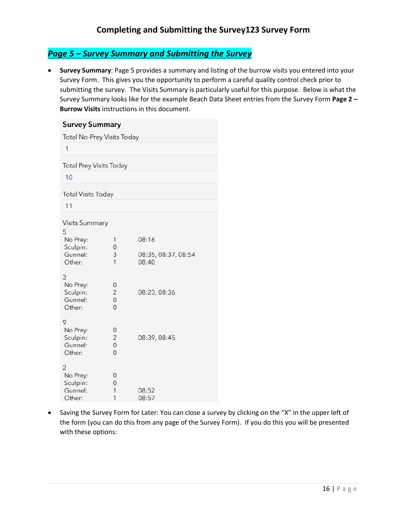### *Page 5 – Survey Summary and Submitting the Survey*

• **Survey Summary**: Page 5 provides a summary and listing of the burrow visits you entered into your Survey Form. This gives you the opportunity to perform a careful quality control check prior to submitting the survey. The Visits Summary is particularly useful for this purpose. Below is what the Survey Summary looks like for the example Beach Data Sheet entries from the Survey Form **Page 2 – Burrow Visits** instructions in this document.

| <b>Survey Summary</b>             |                                  |                              |  |
|-----------------------------------|----------------------------------|------------------------------|--|
| <b>Total No-Prey Visits Today</b> |                                  |                              |  |
| 1                                 |                                  |                              |  |
| <b>Total Prey Visits Today</b>    |                                  |                              |  |
| 10                                |                                  |                              |  |
| <b>Total Visits Today</b>         |                                  |                              |  |
| 11                                |                                  |                              |  |
| <b>Visits Summary</b><br>5        |                                  |                              |  |
| No Prey:                          | 1                                | 08:16                        |  |
| Sculpin:<br>Gunnel:<br>Other:     | 0<br>3<br>1                      | 08:35, 08:37, 08:54<br>08:40 |  |
| 3                                 |                                  |                              |  |
| No Prey:<br>Sculpin:              | 0<br>$\overline{2}$              | 08:23, 08:36                 |  |
| Gunnel:<br>Other:                 | $\overline{0}$<br>0              |                              |  |
|                                   |                                  |                              |  |
| 9<br>No Prey:                     | 0                                |                              |  |
| Sculpin:<br>Gunnel:               | $\overline{c}$<br>$\overline{0}$ | 08:39, 08:45                 |  |
| Other:                            | $\overline{0}$                   |                              |  |
| 2                                 |                                  |                              |  |
| No Prey:<br>Sculpin:              | 0<br>0                           |                              |  |
| Gunnel:                           | 1                                | 08:52                        |  |
| Other:                            | 1                                | 08:57                        |  |

• Saving the Survey Form for Later: You can close a survey by clicking on the "X" in the upper left of the form (you can do this from any page of the Survey Form). If you do this you will be presented with these options: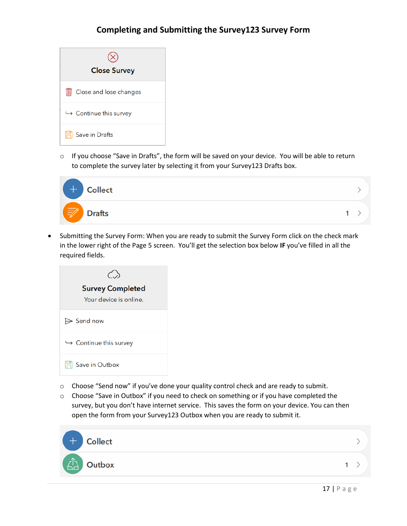

 $\circ$  If you choose "Save in Drafts", the form will be saved on your device. You will be able to return to complete the survey later by selecting it from your Survey123 Drafts box.



• Submitting the Survey Form: When you are ready to submit the Survey Form click on the check mark in the lower right of the Page 5 screen. You'll get the selection box below **IF** you've filled in all the required fields.



- $\circ$  Choose "Send now" if you've done your quality control check and are ready to submit.
- o Choose "Save in Outbox" if you need to check on something or if you have completed the survey, but you don't have internet service. This saves the form on your device. You can then open the form from your Survey123 Outbox when you are ready to submit it.